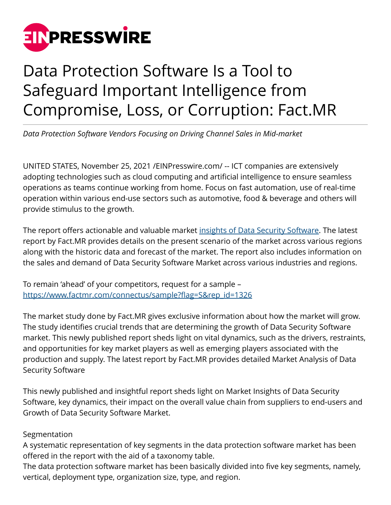

## Data Protection Software Is a Tool to Safeguard Important Intelligence from Compromise, Loss, or Corruption: Fact.MR

*Data Protection Software Vendors Focusing on Driving Channel Sales in Mid-market*

UNITED STATES, November 25, 2021 [/EINPresswire.com](http://www.einpresswire.com)/ -- ICT companies are extensively adopting technologies such as cloud computing and artificial intelligence to ensure seamless operations as teams continue working from home. Focus on fast automation, use of real-time operation within various end-use sectors such as automotive, food & beverage and others will provide stimulus to the growth.

The report offers actionable and valuable market [insights of Data Security Software](https://www.factmr.com/report/1326/data-protection-software-market). The latest report by Fact.MR provides details on the present scenario of the market across various regions along with the historic data and forecast of the market. The report also includes information on the sales and demand of Data Security Software Market across various industries and regions.

To remain 'ahead' of your competitors, request for a sample – [https://www.factmr.com/connectus/sample?flag=S&rep\\_id=1326](https://www.factmr.com/connectus/sample?flag=S&rep_id=1326)

The market study done by Fact.MR gives exclusive information about how the market will grow. The study identifies crucial trends that are determining the growth of Data Security Software market. This newly published report sheds light on vital dynamics, such as the drivers, restraints, and opportunities for key market players as well as emerging players associated with the production and supply. The latest report by Fact.MR provides detailed Market Analysis of Data Security Software

This newly published and insightful report sheds light on Market Insights of Data Security Software, key dynamics, their impact on the overall value chain from suppliers to end-users and Growth of Data Security Software Market.

## Segmentation

A systematic representation of key segments in the data protection software market has been offered in the report with the aid of a taxonomy table.

The data protection software market has been basically divided into five key segments, namely, vertical, deployment type, organization size, type, and region.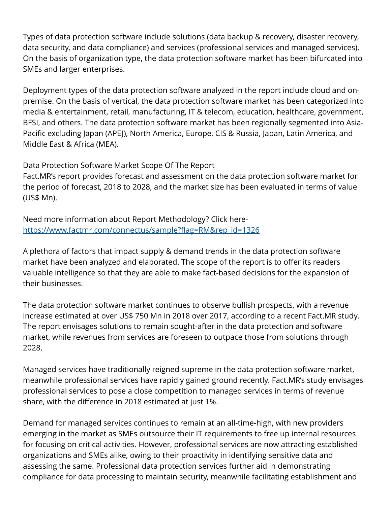Types of data protection software include solutions (data backup & recovery, disaster recovery, data security, and data compliance) and services (professional services and managed services). On the basis of organization type, the data protection software market has been bifurcated into SMEs and larger enterprises.

Deployment types of the data protection software analyzed in the report include cloud and onpremise. On the basis of vertical, the data protection software market has been categorized into media & entertainment, retail, manufacturing, IT & telecom, education, healthcare, government, BFSI, and others. The data protection software market has been regionally segmented into Asia-Pacific excluding Japan (APEJ), North America, Europe, CIS & Russia, Japan, Latin America, and Middle East & Africa (MEA).

Data Protection Software Market Scope Of The Report

Fact.MR's report provides forecast and assessment on the data protection software market for the period of forecast, 2018 to 2028, and the market size has been evaluated in terms of value (US\$ Mn).

Need more information about Report Methodology? Click here[https://www.factmr.com/connectus/sample?flag=RM&rep\\_id=1326](https://www.factmr.com/connectus/sample?flag=RM&rep_id=1326)

A plethora of factors that impact supply & demand trends in the data protection software market have been analyzed and elaborated. The scope of the report is to offer its readers valuable intelligence so that they are able to make fact-based decisions for the expansion of their businesses.

The data protection software market continues to observe bullish prospects, with a revenue increase estimated at over US\$ 750 Mn in 2018 over 2017, according to a recent Fact.MR study. The report envisages solutions to remain sought-after in the data protection and software market, while revenues from services are foreseen to outpace those from solutions through 2028.

Managed services have traditionally reigned supreme in the data protection software market, meanwhile professional services have rapidly gained ground recently. Fact.MR's study envisages professional services to pose a close competition to managed services in terms of revenue share, with the difference in 2018 estimated at just 1%.

Demand for managed services continues to remain at an all-time-high, with new providers emerging in the market as SMEs outsource their IT requirements to free up internal resources for focusing on critical activities. However, professional services are now attracting established organizations and SMEs alike, owing to their proactivity in identifying sensitive data and assessing the same. Professional data protection services further aid in demonstrating compliance for data processing to maintain security, meanwhile facilitating establishment and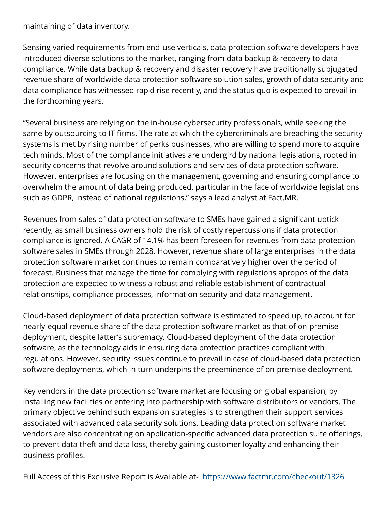maintaining of data inventory.

Sensing varied requirements from end-use verticals, data protection software developers have introduced diverse solutions to the market, ranging from data backup & recovery to data compliance. While data backup & recovery and disaster recovery have traditionally subjugated revenue share of worldwide data protection software solution sales, growth of data security and data compliance has witnessed rapid rise recently, and the status quo is expected to prevail in the forthcoming years.

"Several business are relying on the in-house cybersecurity professionals, while seeking the same by outsourcing to IT firms. The rate at which the cybercriminals are breaching the security systems is met by rising number of perks businesses, who are willing to spend more to acquire tech minds. Most of the compliance initiatives are undergird by national legislations, rooted in security concerns that revolve around solutions and services of data protection software. However, enterprises are focusing on the management, governing and ensuring compliance to overwhelm the amount of data being produced, particular in the face of worldwide legislations such as GDPR, instead of national regulations," says a lead analyst at Fact.MR.

Revenues from sales of data protection software to SMEs have gained a significant uptick recently, as small business owners hold the risk of costly repercussions if data protection compliance is ignored. A CAGR of 14.1% has been foreseen for revenues from data protection software sales in SMEs through 2028. However, revenue share of large enterprises in the data protection software market continues to remain comparatively higher over the period of forecast. Business that manage the time for complying with regulations apropos of the data protection are expected to witness a robust and reliable establishment of contractual relationships, compliance processes, information security and data management.

Cloud-based deployment of data protection software is estimated to speed up, to account for nearly-equal revenue share of the data protection software market as that of on-premise deployment, despite latter's supremacy. Cloud-based deployment of the data protection software, as the technology aids in ensuring data protection practices compliant with regulations. However, security issues continue to prevail in case of cloud-based data protection software deployments, which in turn underpins the preeminence of on-premise deployment.

Key vendors in the data protection software market are focusing on global expansion, by installing new facilities or entering into partnership with software distributors or vendors. The primary objective behind such expansion strategies is to strengthen their support services associated with advanced data security solutions. Leading data protection software market vendors are also concentrating on application-specific advanced data protection suite offerings, to prevent data theft and data loss, thereby gaining customer loyalty and enhancing their business profiles.

Full Access of this Exclusive Report is Available at- <https://www.factmr.com/checkout/1326>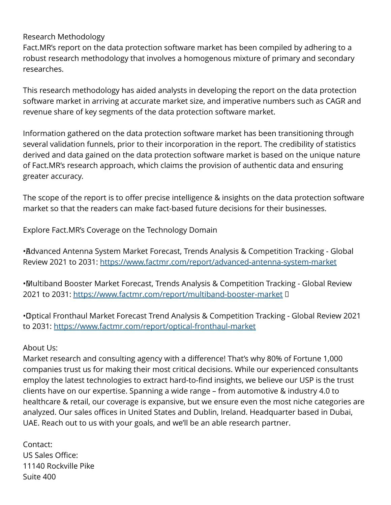## Research Methodology

Fact.MR's report on the data protection software market has been compiled by adhering to a robust research methodology that involves a homogenous mixture of primary and secondary researches.

This research methodology has aided analysts in developing the report on the data protection software market in arriving at accurate market size, and imperative numbers such as CAGR and revenue share of key segments of the data protection software market.

Information gathered on the data protection software market has been transitioning through several validation funnels, prior to their incorporation in the report. The credibility of statistics derived and data gained on the data protection software market is based on the unique nature of Fact.MR's research approach, which claims the provision of authentic data and ensuring greater accuracy.

The scope of the report is to offer precise intelligence & insights on the data protection software market so that the readers can make fact-based future decisions for their businesses.

Explore Fact.MR's Coverage on the Technology Domain

• Advanced Antenna System Market Forecast, Trends Analysis & Competition Tracking - Global Review 2021 to 2031: <https://www.factmr.com/report/advanced-antenna-system-market>

• Multiband Booster Market Forecast, Trends Analysis & Competition Tracking - Global Review 2021 to 2031: <https://www.factmr.com/report/multiband-booster-market>D

• Optical Fronthaul Market Forecast Trend Analysis & Competition Tracking - Global Review 2021 to 2031:<https://www.factmr.com/report/optical-fronthaul-market>

About Us:

Market research and consulting agency with a difference! That's why 80% of Fortune 1,000 companies trust us for making their most critical decisions. While our experienced consultants employ the latest technologies to extract hard-to-find insights, we believe our USP is the trust clients have on our expertise. Spanning a wide range – from automotive & industry 4.0 to healthcare & retail, our coverage is expansive, but we ensure even the most niche categories are analyzed. Our sales offices in United States and Dublin, Ireland. Headquarter based in Dubai, UAE. Reach out to us with your goals, and we'll be an able research partner.

Contact: US Sales Office: 11140 Rockville Pike Suite 400